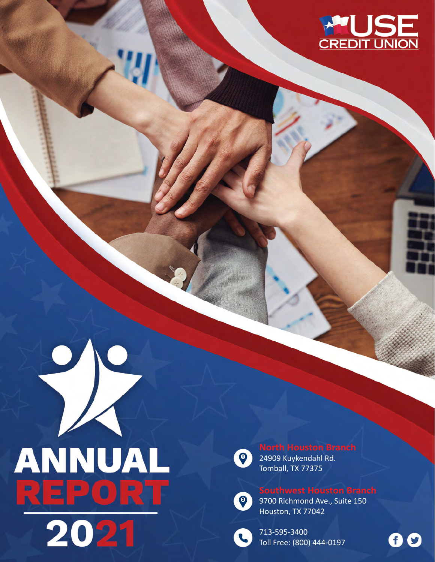





24909 Kuykendahl Rd. Tomball, TX 77375



9700 Richmond Ave., Suite 150 Houston, TX 77042



713-595-3400 Toll Free: (800) 444-0197

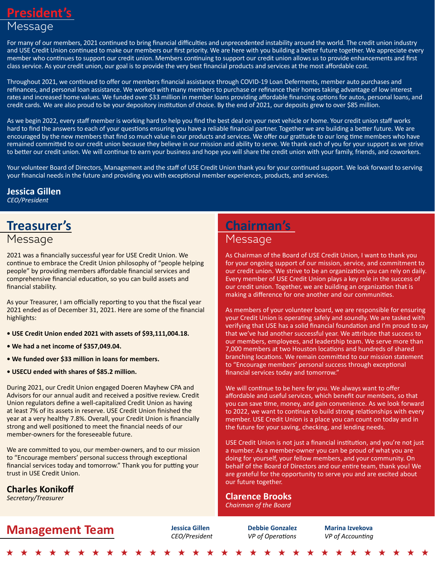### **President's** Message

For many of our members, 2021 continued to bring financial difficulties and unprecedented instability around the world. The credit union industry and USE Credit Union continued to make our members our first priority. We are here with you building a better future together. We appreciate every member who continues to support our credit union. Members continuing to support our credit union allows us to provide enhancements and first class service. As your credit union, our goal is to provide the very best financial products and services at the most affordable cost.

Throughout 2021, we continued to offer our members financial assistance through COVID-19 Loan Deferments, member auto purchases and refinances, and personal loan assistance. We worked with many members to purchase or refinance their homes taking advantage of low interest rates and increased home values. We funded over \$33 million in member loans providing affordable financing options for autos, personal loans, and credit cards. We are also proud to be your depository institution of choice. By the end of 2021, our deposits grew to over \$85 million.

As we begin 2022, every staff member is working hard to help you find the best deal on your next vehicle or home. Your credit union staff works hard to find the answers to each of your questions ensuring you have a reliable financial partner. Together we are building a better future. We are encouraged by the new members that find so much value in our products and services. We offer our gratitude to our long time members who have remained committed to our credit union because they believe in our mission and ability to serve. We thank each of you for your support as we strive to better our credit union. We will continue to earn your business and hope you will share the credit union with your family, friends, and coworkers.

Your volunteer Board of Directors, Management and the staff of USE Credit Union thank you for your continued support. We look forward to serving your financial needs in the future and providing you with exceptional member experiences, products, and services.

## **Jessica Gillen**

*CEO/President*

# **Treasurer's**

### Message

2021 was a financially successful year for USE Credit Union. We continue to embrace the Credit Union philosophy of "people helping people" by providing members affordable financial services and comprehensive financial education, so you can build assets and financial stability.

As your Treasurer, I am officially reporting to you that the fiscal year 2021 ended as of December 31, 2021. Here are some of the financial highlights:

- **USE Credit Union ended 2021 with assets of \$93,111,004.18.**
- **We had a net income of \$357,049.04.**
- **We funded over \$33 million in loans for members.**
- **USECU ended with shares of \$85.2 million.**

During 2021, our Credit Union engaged Doeren Mayhew CPA and Advisors for our annual audit and received a positive review. Credit Union regulators define a well-capitalized Credit Union as having at least 7% of its assets in reserve. USE Credit Union finished the year at a very healthy 7.8%. Overall, your Credit Union is financially strong and well positioned to meet the financial needs of our member-owners for the foreseeable future.

We are committed to you, our member-owners, and to our mission to "Encourage members' personal success through exceptional financial services today and tomorrow." Thank you for putting your trust in USE Credit Union.

**Charles Konikoff**

#### *Secretary/Treasurer*

# **Management Team** *Jessica Gillen Debbie Gonzalez Marina Izvekova*<br>*CEO/President VP of Operations VP of Accounting*

**Chairman's**  Message

As Chairman of the Board of USE Credit Union, I want to thank you for your ongoing support of our mission, service, and commitment to our credit union. We strive to be an organization you can rely on daily. Every member of USE Credit Union plays a key role in the success of our credit union. Together, we are building an organization that is making a difference for one another and our communities.

As members of your volunteer board, we are responsible for ensuring your Credit Union is operating safely and soundly. We are tasked with verifying that USE has a solid financial foundation and I'm proud to say that we've had another successful year. We attribute that success to our members, employees, and leadership team. We serve more than 7,000 members at two Houston locations and hundreds of shared branching locations. We remain committed to our mission statement to "Encourage members' personal success through exceptional financial services today and tomorrow."

We will continue to be here for you. We always want to offer affordable and useful services, which benefit our members, so that you can save time, money, and gain convenience. As we look forward to 2022, we want to continue to build strong relationships with every member. USE Credit Union is a place you can count on today and in the future for your saving, checking, and lending needs.

USE Credit Union is not just a financial institution, and you're not just a number. As a member-owner you can be proud of what you are doing for yourself, your fellow members, and your community. On behalf of the Board of Directors and our entire team, thank you! We are grateful for the opportunity to serve you and are excited about our future together.

### **Clarence Brooks**

*Chairman of the Board*

*VP of Operations*